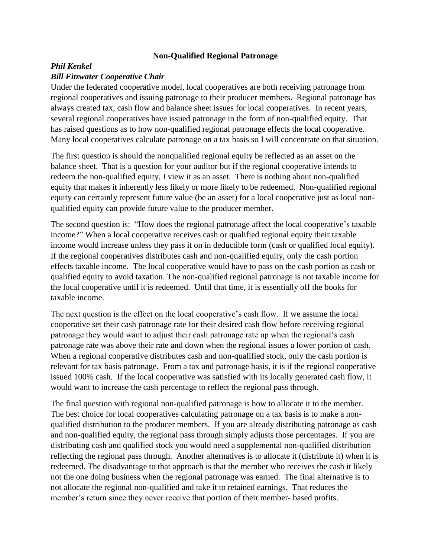## **Non-Qualified Regional Patronage**

## *Phil Kenkel Bill Fitzwater Cooperative Chair*

Under the federated cooperative model, local cooperatives are both receiving patronage from regional cooperatives and issuing patronage to their producer members. Regional patronage has always created tax, cash flow and balance sheet issues for local cooperatives. In recent years, several regional cooperatives have issued patronage in the form of non-qualified equity. That has raised questions as to how non-qualified regional patronage effects the local cooperative. Many local cooperatives calculate patronage on a tax basis so I will concentrate on that situation.

The first question is should the nonqualified regional equity be reflected as an asset on the balance sheet. That is a question for your auditor but if the regional cooperative intends to redeem the non-qualified equity, I view it as an asset. There is nothing about non-qualified equity that makes it inherently less likely or more likely to be redeemed. Non-qualified regional equity can certainly represent future value (be an asset) for a local cooperative just as local nonqualified equity can provide future value to the producer member.

The second question is: "How does the regional patronage affect the local cooperative's taxable income?" When a local cooperative receives cash or qualified regional equity their taxable income would increase unless they pass it on in deductible form (cash or qualified local equity). If the regional cooperatives distributes cash and non-qualified equity, only the cash portion effects taxable income. The local cooperative would have to pass on the cash portion as cash or qualified equity to avoid taxation. The non-qualified regional patronage is not taxable income for the local cooperative until it is redeemed. Until that time, it is essentially off the books for taxable income.

The next question is the effect on the local cooperative's cash flow. If we assume the local cooperative set their cash patronage rate for their desired cash flow before receiving regional patronage they would want to adjust their cash patronage rate up when the regional's cash patronage rate was above their rate and down when the regional issues a lower portion of cash. When a regional cooperative distributes cash and non-qualified stock, only the cash portion is relevant for tax basis patronage. From a tax and patronage basis, it is if the regional cooperative issued 100% cash. If the local cooperative was satisfied with its locally generated cash flow, it would want to increase the cash percentage to reflect the regional pass through.

The final question with regional non-qualified patronage is how to allocate it to the member. The best choice for local cooperatives calculating patronage on a tax basis is to make a nonqualified distribution to the producer members. If you are already distributing patronage as cash and non-qualified equity, the regional pass through simply adjusts those percentages. If you are distributing cash and qualified stock you would need a supplemental non-qualified distribution reflecting the regional pass through. Another alternatives is to allocate it (distribute it) when it is redeemed. The disadvantage to that approach is that the member who receives the cash it likely not the one doing business when the regional patronage was earned. The final alternative is to not allocate the regional non-qualified and take it to retained earnings. That reduces the member's return since they never receive that portion of their member- based profits.